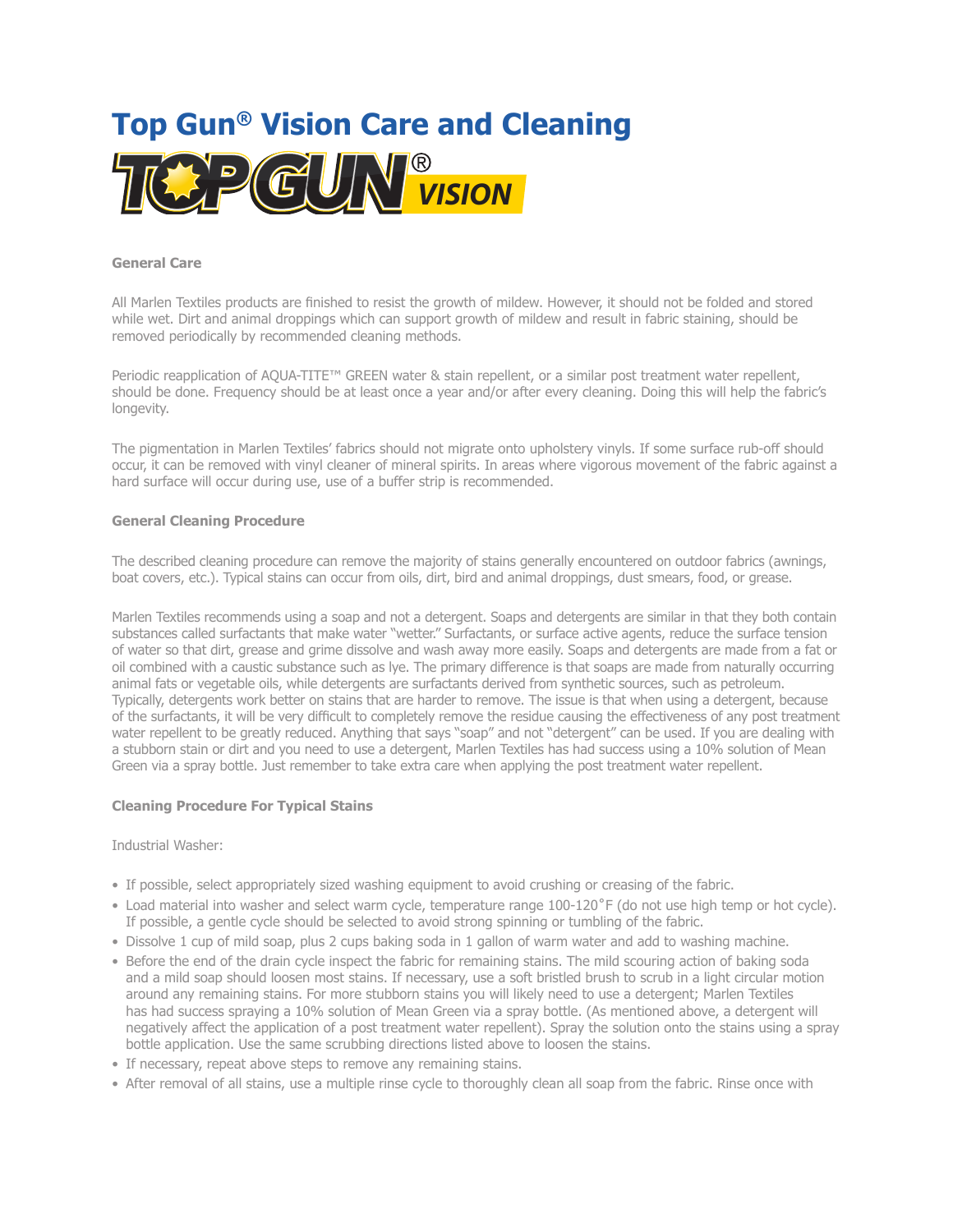

#### **General Care**

All Marlen Textiles products are finished to resist the growth of mildew. However, it should not be folded and stored while wet. Dirt and animal droppings which can support growth of mildew and result in fabric staining, should be removed periodically by recommended cleaning methods.

Periodic reapplication of AQUA-TITE™ GREEN water & stain repellent, or a similar post treatment water repellent, should be done. Frequency should be at least once a year and/or after every cleaning. Doing this will help the fabric's longevity.

The pigmentation in Marlen Textiles' fabrics should not migrate onto upholstery vinyls. If some surface rub-off should occur, it can be removed with vinyl cleaner of mineral spirits. In areas where vigorous movement of the fabric against a hard surface will occur during use, use of a buffer strip is recommended.

# **General Cleaning Procedure**

The described cleaning procedure can remove the majority of stains generally encountered on outdoor fabrics (awnings, boat covers, etc.). Typical stains can occur from oils, dirt, bird and animal droppings, dust smears, food, or grease.

Marlen Textiles recommends using a soap and not a detergent. Soaps and detergents are similar in that they both contain substances called surfactants that make water "wetter." Surfactants, or surface active agents, reduce the surface tension of water so that dirt, grease and grime dissolve and wash away more easily. Soaps and detergents are made from a fat or oil combined with a caustic substance such as lye. The primary difference is that soaps are made from naturally occurring animal fats or vegetable oils, while detergents are surfactants derived from synthetic sources, such as petroleum. Typically, detergents work better on stains that are harder to remove. The issue is that when using a detergent, because of the surfactants, it will be very difficult to completely remove the residue causing the effectiveness of any post treatment water repellent to be greatly reduced. Anything that says "soap" and not "detergent" can be used. If you are dealing with a stubborn stain or dirt and you need to use a detergent, Marlen Textiles has had success using a 10% solution of Mean Green via a spray bottle. Just remember to take extra care when applying the post treatment water repellent.

# **Cleaning Procedure For Typical Stains**

Industrial Washer:

- If possible, select appropriately sized washing equipment to avoid crushing or creasing of the fabric.
- Load material into washer and select warm cycle, temperature range 100-120˚F (do not use high temp or hot cycle). If possible, a gentle cycle should be selected to avoid strong spinning or tumbling of the fabric.
- Dissolve 1 cup of mild soap, plus 2 cups baking soda in 1 gallon of warm water and add to washing machine.
- Before the end of the drain cycle inspect the fabric for remaining stains. The mild scouring action of baking soda and a mild soap should loosen most stains. If necessary, use a soft bristled brush to scrub in a light circular motion around any remaining stains. For more stubborn stains you will likely need to use a detergent; Marlen Textiles has had success spraying a 10% solution of Mean Green via a spray bottle. (As mentioned above, a detergent will negatively affect the application of a post treatment water repellent). Spray the solution onto the stains using a spray bottle application. Use the same scrubbing directions listed above to loosen the stains.
- If necessary, repeat above steps to remove any remaining stains.
- After removal of all stains, use a multiple rinse cycle to thoroughly clean all soap from the fabric. Rinse once with